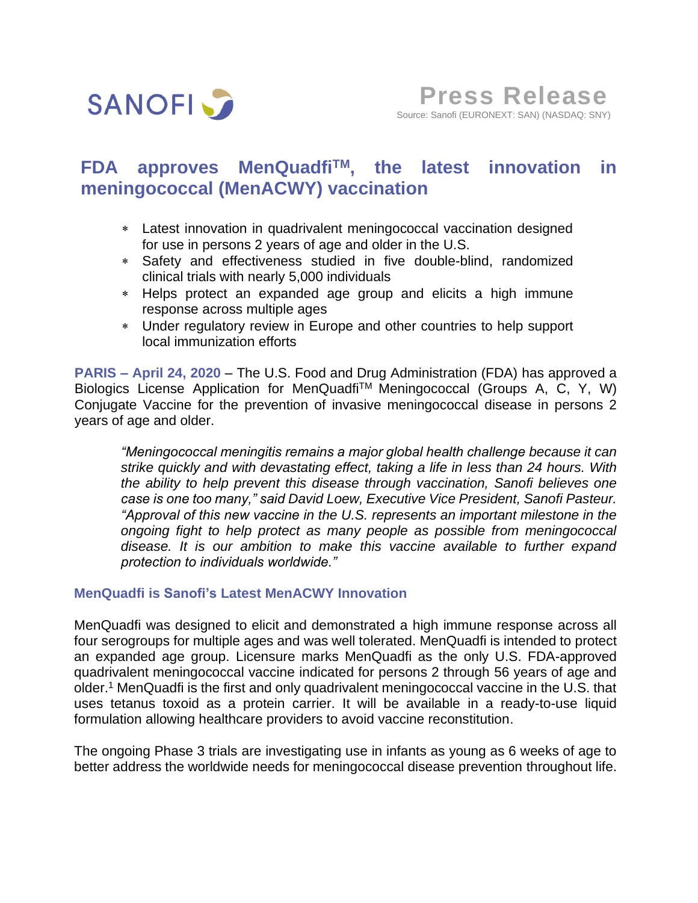

# **FDA approves MenQuadfiTM , the latest innovation in meningococcal (MenACWY) vaccination**

- Latest innovation in quadrivalent meningococcal vaccination designed for use in persons 2 years of age and older in the U.S.
- Safety and effectiveness studied in five double-blind, randomized clinical trials with nearly 5,000 individuals
- Helps protect an expanded age group and elicits a high immune response across multiple ages
- Under regulatory review in Europe and other countries to help support local immunization efforts

**PARIS – April 24, 2020** – The U.S. Food and Drug Administration (FDA) has approved a Biologics License Application for MenQuadfiTM Meningococcal (Groups A, C, Y, W) Conjugate Vaccine for the prevention of invasive meningococcal disease in persons 2 years of age and older.

*"Meningococcal meningitis remains a major global health challenge because it can strike quickly and with devastating effect, taking a life in less than 24 hours. With the ability to help prevent this disease through vaccination, Sanofi believes one case is one too many," said David Loew, Executive Vice President, Sanofi Pasteur. "Approval of this new vaccine in the U.S. represents an important milestone in the ongoing fight to help protect as many people as possible from meningococcal disease. It is our ambition to make this vaccine available to further expand protection to individuals worldwide."*

### **MenQuadfi is Sanofi's Latest MenACWY Innovation**

MenQuadfi was designed to elicit and demonstrated a high immune response across all four serogroups for multiple ages and was well tolerated. MenQuadfi is intended to protect an expanded age group. Licensure marks MenQuadfi as the only U.S. FDA-approved quadrivalent meningococcal vaccine indicated for persons 2 through 56 years of age and older. <sup>1</sup> MenQuadfi is the first and only quadrivalent meningococcal vaccine in the U.S. that uses tetanus toxoid as a protein carrier. It will be available in a ready-to-use liquid formulation allowing healthcare providers to avoid vaccine reconstitution.

The ongoing Phase 3 trials are investigating use in infants as young as 6 weeks of age to better address the worldwide needs for meningococcal disease prevention throughout life.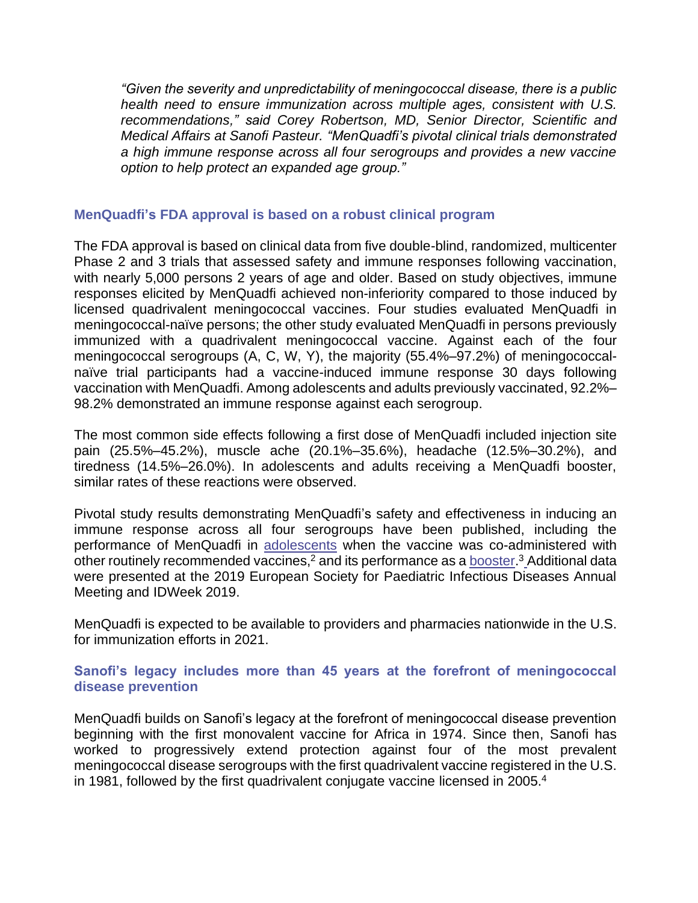*"Given the severity and unpredictability of meningococcal disease, there is a public health need to ensure immunization across multiple ages, consistent with U.S. recommendations," said Corey Robertson, MD, Senior Director, Scientific and Medical Affairs at Sanofi Pasteur. "MenQuadfi's pivotal clinical trials demonstrated a high immune response across all four serogroups and provides a new vaccine option to help protect an expanded age group."*

### **MenQuadfi's FDA approval is based on a robust clinical program**

The FDA approval is based on clinical data from five double-blind, randomized, multicenter Phase 2 and 3 trials that assessed safety and immune responses following vaccination, with nearly 5,000 persons 2 years of age and older. Based on study objectives, immune responses elicited by MenQuadfi achieved non-inferiority compared to those induced by licensed quadrivalent meningococcal vaccines. Four studies evaluated MenQuadfi in meningococcal-naïve persons; the other study evaluated MenQuadfi in persons previously immunized with a quadrivalent meningococcal vaccine. Against each of the four meningococcal serogroups (A, C, W, Y), the majority (55.4%–97.2%) of meningococcalnaïve trial participants had a vaccine-induced immune response 30 days following vaccination with MenQuadfi. Among adolescents and adults previously vaccinated, 92.2%– 98.2% demonstrated an immune response against each serogroup.

The most common side effects following a first dose of MenQuadfi included injection site pain (25.5%–45.2%), muscle ache (20.1%–35.6%), headache (12.5%–30.2%), and tiredness (14.5%–26.0%). In adolescents and adults receiving a MenQuadfi booster, similar rates of these reactions were observed.

Pivotal study results demonstrating MenQuadfi's safety and effectiveness in inducing an immune response across all four serogroups have been published, including the performance of MenQuadfi in [adolescents](https://www.sciencedirect.com/science/article/pii/S0264410X20303704?via%3Dihub) when the vaccine was co-administered with other routinely recommended vaccines,<sup>2</sup> and its performance as a **booster.**<sup>3</sup> Additional data were presented at the 2019 European Society for Paediatric Infectious Diseases Annual Meeting and IDWeek 2019.

MenQuadfi is expected to be available to providers and pharmacies nationwide in the U.S. for immunization efforts in 2021.

## **Sanofi's legacy includes more than 45 years at the forefront of meningococcal disease prevention**

MenQuadfi builds on Sanofi's legacy at the forefront of meningococcal disease prevention beginning with the first monovalent vaccine for Africa in 1974. Since then, Sanofi has worked to progressively extend protection against four of the most prevalent meningococcal disease serogroups with the first quadrivalent vaccine registered in the U.S. in 1981, followed by the first quadrivalent conjugate vaccine licensed in 2005.<sup>4</sup>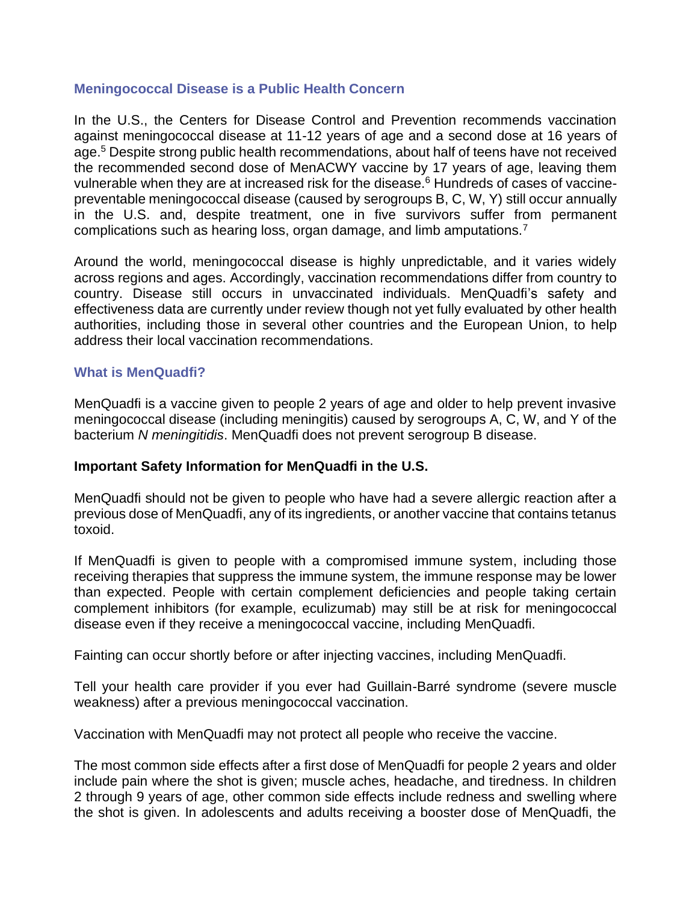## **Meningococcal Disease is a Public Health Concern**

In the U.S., the Centers for Disease Control and Prevention recommends vaccination against meningococcal disease at 11-12 years of age and a second dose at 16 years of age. <sup>5</sup> Despite strong public health recommendations, about half of teens have not received the recommended second dose of MenACWY vaccine by 17 years of age, leaving them vulnerable when they are at increased risk for the disease.<sup>6</sup> Hundreds of cases of vaccinepreventable meningococcal disease (caused by serogroups B, C, W, Y) still occur annually in the U.S. and, despite treatment, one in five survivors suffer from permanent complications such as hearing loss, organ damage, and limb amputations.<sup>7</sup>

Around the world, meningococcal disease is highly unpredictable, and it varies widely across regions and ages. Accordingly, vaccination recommendations differ from country to country. Disease still occurs in unvaccinated individuals. MenQuadfi's safety and effectiveness data are currently under review though not yet fully evaluated by other health authorities, including those in several other countries and the European Union, to help address their local vaccination recommendations.

### **What is MenQuadfi?**

MenQuadfi is a vaccine given to people 2 years of age and older to help prevent invasive meningococcal disease (including meningitis) caused by serogroups A, C, W, and Y of the bacterium *N meningitidis*. MenQuadfi does not prevent serogroup B disease.

### **Important Safety Information for MenQuadfi in the U.S.**

MenQuadfi should not be given to people who have had a severe allergic reaction after a previous dose of MenQuadfi, any of its ingredients, or another vaccine that contains tetanus toxoid.

If MenQuadfi is given to people with a compromised immune system, including those receiving therapies that suppress the immune system, the immune response may be lower than expected. People with certain complement deficiencies and people taking certain complement inhibitors (for example, eculizumab) may still be at risk for meningococcal disease even if they receive a meningococcal vaccine, including MenQuadfi.

Fainting can occur shortly before or after injecting vaccines, including MenQuadfi.

Tell your health care provider if you ever had Guillain-Barré syndrome (severe muscle weakness) after a previous meningococcal vaccination.

Vaccination with MenQuadfi may not protect all people who receive the vaccine.

The most common side effects after a first dose of MenQuadfi for people 2 years and older include pain where the shot is given; muscle aches, headache, and tiredness. In children 2 through 9 years of age, other common side effects include redness and swelling where the shot is given. In adolescents and adults receiving a booster dose of MenQuadfi, the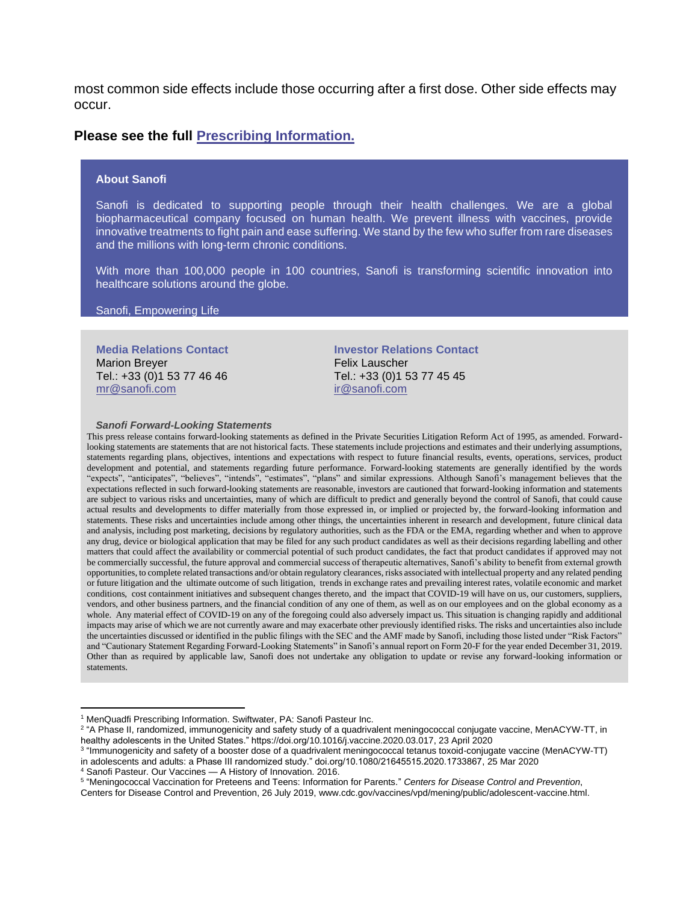most common side effects include those occurring after a first dose. Other side effects may occur.

#### **Please see the full [Prescribing Information.](https://www.vaccineshoppe.com/assets/pdf/395-MenQuadfi%E2%80%93USPI-clean-Apr%202020.pdf.)**

#### **About Sanofi**

Sanofi is dedicated to supporting people through their health challenges. We are a global biopharmaceutical company focused on human health. We prevent illness with vaccines, provide innovative treatments to fight pain and ease suffering. We stand by the few who suffer from rare diseases and the millions with long-term chronic conditions.

With more than 100,000 people in 100 countries, Sanofi is transforming scientific innovation into healthcare solutions around the globe.

#### Sanofi, Empowering Life

**Media Relations Contact** Marion Breyer Tel.: +33 (0)1 53 77 46 46 [mr@sanofi.com](mailto:mr@sanofi.com)

**Investor Relations Contact** Felix Lauscher Tel.: +33 (0)1 53 77 45 45 [ir@sanofi.com](mailto:ir@sanofi.com)

#### *Sanofi Forward-Looking Statements*

This press release contains forward-looking statements as defined in the Private Securities Litigation Reform Act of 1995, as amended. Forwardlooking statements are statements that are not historical facts. These statements include projections and estimates and their underlying assumptions, statements regarding plans, objectives, intentions and expectations with respect to future financial results, events, operations, services, product development and potential, and statements regarding future performance. Forward-looking statements are generally identified by the words "expects", "anticipates", "believes", "intends", "estimates", "plans" and similar expressions. Although Sanofi's management believes that the expectations reflected in such forward-looking statements are reasonable, investors are cautioned that forward-looking information and statements are subject to various risks and uncertainties, many of which are difficult to predict and generally beyond the control of Sanofi, that could cause actual results and developments to differ materially from those expressed in, or implied or projected by, the forward-looking information and statements. These risks and uncertainties include among other things, the uncertainties inherent in research and development, future clinical data and analysis, including post marketing, decisions by regulatory authorities, such as the FDA or the EMA, regarding whether and when to approve any drug, device or biological application that may be filed for any such product candidates as well as their decisions regarding labelling and other matters that could affect the availability or commercial potential of such product candidates, the fact that product candidates if approved may not be commercially successful, the future approval and commercial success of therapeutic alternatives, Sanofi's ability to benefit from external growth opportunities, to complete related transactions and/or obtain regulatory clearances, risks associated with intellectual property and any related pending or future litigation and the ultimate outcome of such litigation, trends in exchange rates and prevailing interest rates, volatile economic and market conditions, cost containment initiatives and subsequent changes thereto, and the impact that COVID-19 will have on us, our customers, suppliers, vendors, and other business partners, and the financial condition of any one of them, as well as on our employees and on the global economy as a whole. Any material effect of COVID-19 on any of the foregoing could also adversely impact us. This situation is changing rapidly and additional impacts may arise of which we are not currently aware and may exacerbate other previously identified risks. The risks and uncertainties also include the uncertainties discussed or identified in the public filings with the SEC and the AMF made by Sanofi, including those listed under "Risk Factors" and "Cautionary Statement Regarding Forward-Looking Statements" in Sanofi's annual report on Form 20-F for the year ended December 31, 2019. Other than as required by applicable law, Sanofi does not undertake any obligation to update or revise any forward-looking information or statements.

Centers for Disease Control and Prevention, 26 July 2019, www.cdc.gov/vaccines/vpd/mening/public/adolescent-vaccine.html.

<sup>&</sup>lt;sup>1</sup> MenQuadfi Prescribing Information. Swiftwater, PA: Sanofi Pasteur Inc.

<sup>&</sup>lt;sup>2</sup> "A Phase II, randomized, immunogenicity and safety study of a quadrivalent meningococcal conjugate vaccine, MenACYW-TT, in healthy adolescents in the United States." https://doi.org/10.1016/j.vaccine.2020.03.017, 23 April 2020

<sup>3</sup> "Immunogenicity and safety of a booster dose of a quadrivalent meningococcal tetanus toxoid-conjugate vaccine (MenACYW-TT) in adolescents and adults: a Phase III randomized study." doi.org/10.1080/21645515.2020.1733867, 25 Mar 2020

<sup>4</sup> Sanofi Pasteur. Our Vaccines — A History of Innovation. 2016.

<sup>5</sup> "Meningococcal Vaccination for Preteens and Teens: Information for Parents." *Centers for Disease Control and Prevention*,